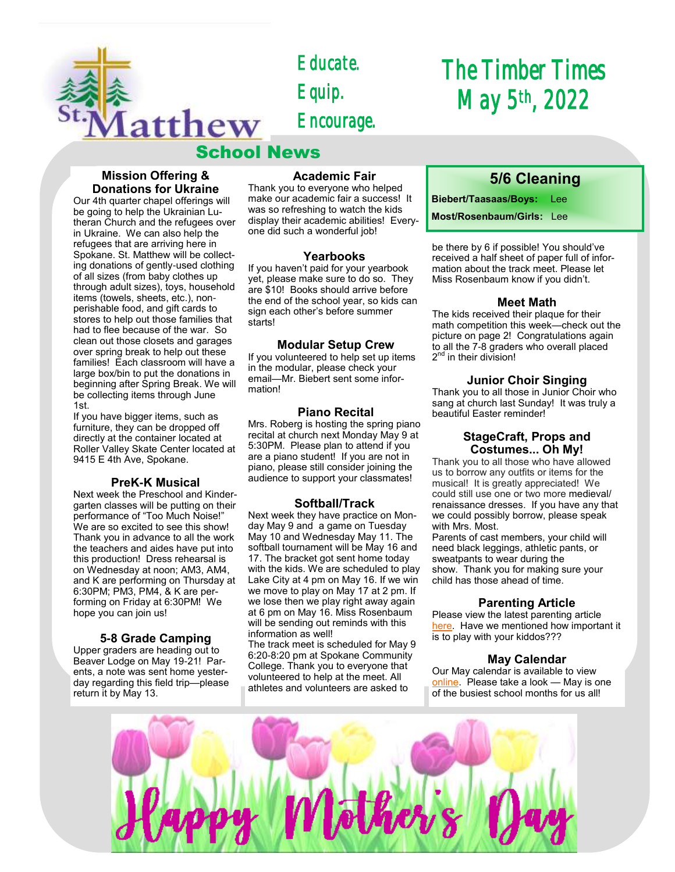

*Educate. Equip. Encourage.* 

# School News

# **Mission Offering & Donations for Ukraine**

Our 4th quarter chapel offerings will be going to help the Ukrainian Lutheran Church and the refugees over in Ukraine. We can also help the refugees that are arriving here in Spokane. St. Matthew will be collecting donations of gently-used clothing of all sizes (from baby clothes up through adult sizes), toys, household items (towels, sheets, etc.), nonperishable food, and gift cards to stores to help out those families that had to flee because of the war. So clean out those closets and garages over spring break to help out these families! Each classroom will have a large box/bin to put the donations in beginning after Spring Break. We will be collecting items through June 1st.

If you have bigger items, such as furniture, they can be dropped off directly at the container located at Roller Valley Skate Center located at 9415 E 4th Ave, Spokane.

# **PreK-K Musical**

Next week the Preschool and Kindergarten classes will be putting on their performance of "Too Much Noise!" We are so excited to see this show! Thank you in advance to all the work the teachers and aides have put into this production! Dress rehearsal is on Wednesday at noon; AM3, AM4, and K are performing on Thursday at 6:30PM; PM3, PM4, & K are performing on Friday at 6:30PM! We hope you can join us!

# **5-8 Grade Camping**

Upper graders are heading out to Beaver Lodge on May 19-21! Parents, a note was sent home yesterday regarding this field trip—please return it by May 13.

# **Academic Fair**

Thank you to everyone who helped make our academic fair a success! It was so refreshing to watch the kids display their academic abilities! Everyone did such a wonderful job!

#### **Yearbooks**

If you haven't paid for your yearbook yet, please make sure to do so. They are \$10! Books should arrive before the end of the school year, so kids can sign each other's before summer starts!

#### **Modular Setup Crew**

If you volunteered to help set up items in the modular, please check your email—Mr. Biebert sent some information!

# **Piano Recital**

Mrs. Roberg is hosting the spring piano recital at church next Monday May 9 at 5:30PM. Please plan to attend if you are a piano student! If you are not in piano, please still consider joining the audience to support your classmates!

# **Softball/Track**

Next week they have practice on Monday May 9 and a game on Tuesday May 10 and Wednesday May 11. The softball tournament will be May 16 and 17. The bracket got sent home today with the kids. We are scheduled to play Lake City at 4 pm on May 16. If we win we move to play on May 17 at 2 pm. If we lose then we play right away again at 6 pm on May 16. Miss Rosenbaum will be sending out reminds with this information as well!

The track meet is scheduled for May 9 6:20-8:20 pm at Spokane Community College. Thank you to everyone that volunteered to help at the meet. All athletes and volunteers are asked to

# *The Timber Times May 5th, 2022*

# **5/6 Cleaning**

**Biebert/Taasaas/Boys:** Lee

**Most/Rosenbaum/Girls:** Lee

be there by 6 if possible! You should've received a half sheet of paper full of information about the track meet. Please let Miss Rosenbaum know if you didn't.

#### **Meet Math**

The kids received their plaque for their math competition this week—check out the picture on page 2! Congratulations again to all the 7-8 graders who overall placed 2<sup>nd</sup> in their division!

#### **Junior Choir Singing**

Thank you to all those in Junior Choir who sang at church last Sunday! It was truly a beautiful Easter reminder!

#### **StageCraft, Props and Costumes... Oh My!**

Thank you to all those who have allowed us to borrow any outfits or items for the musical! It is greatly appreciated! We could still use one or two more medieval/ renaissance dresses. If you have any that we could possibly borrow, please speak with Mrs. Most.

Parents of cast members, your child will need black leggings, athletic pants, or sweatpants to wear during the show. Thank you for making sure your child has those ahead of time.

# **Parenting Article**

Please view the latest parenting article [here.](https://www.naeyc.org/our-work/families/support-learning-with-play) Have we mentioned how important it is to play with your kiddos???

# **May Calendar**

Our May calendar is available to view [online.](https://school.stmatthewspokane.org/calendars.html) Please take a look — May is one of the busiest school months for us all!

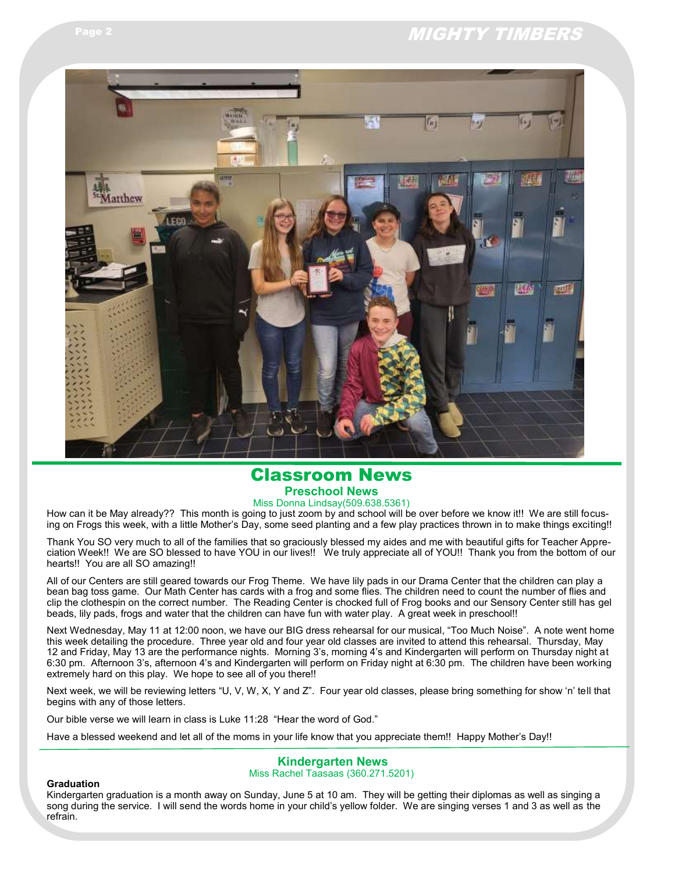# Page 2 MIGHTY TIMBERS



# Classroom News **Preschool News**

Miss Donna Lindsay(509.638.5361)

How can it be May already?? This month is going to just zoom by and school will be over before we know it!! We are still focusing on Frogs this week, with a little Mother's Day, some seed planting and a few play practices thrown in to make things exciting!!

Thank You SO very much to all of the families that so graciously blessed my aides and me with beautiful gifts for Teacher Appreciation Week!! We are SO blessed to have YOU in our lives!! We truly appreciate all of YOU!! Thank you from the bottom of our hearts!! You are all SO amazing!!

All of our Centers are still geared towards our Frog Theme. We have lily pads in our Drama Center that the children can play a bean bag toss game. Our Math Center has cards with a frog and some flies. The children need to count the number of flies and clip the clothespin on the correct number. The Reading Center is chocked full of Frog books and our Sensory Center still has gel beads, lily pads, frogs and water that the children can have fun with water play. A great week in preschool!!

Next Wednesday, May 11 at 12:00 noon, we have our BIG dress rehearsal for our musical, "Too Much Noise". A note went home this week detailing the procedure. Three year old and four year old classes are invited to attend this rehearsal. Thursday, May 12 and Friday, May 13 are the performance nights. Morning 3's, morning 4's and Kindergarten will perform on Thursday night at 6:30 pm. Afternoon 3's, afternoon 4's and Kindergarten will perform on Friday night at 6:30 pm. The children have been working extremely hard on this play. We hope to see all of you there!!

Next week, we will be reviewing letters "U, V, W, X, Y and Z". Four year old classes, please bring something for show 'n' tell that begins with any of those letters.

Our bible verse we will learn in class is Luke 11:28 "Hear the word of God."

Have a blessed weekend and let all of the moms in your life know that you appreciate them!! Happy Mother's Day!!

#### **Kindergarten News** Miss Rachel Taasaas (360.271.5201)

#### **Graduation**

Kindergarten graduation is a month away on Sunday, June 5 at 10 am. They will be getting their diplomas as well as singing a song during the service. I will send the words home in your child's yellow folder. We are singing verses 1 and 3 as well as the refrain.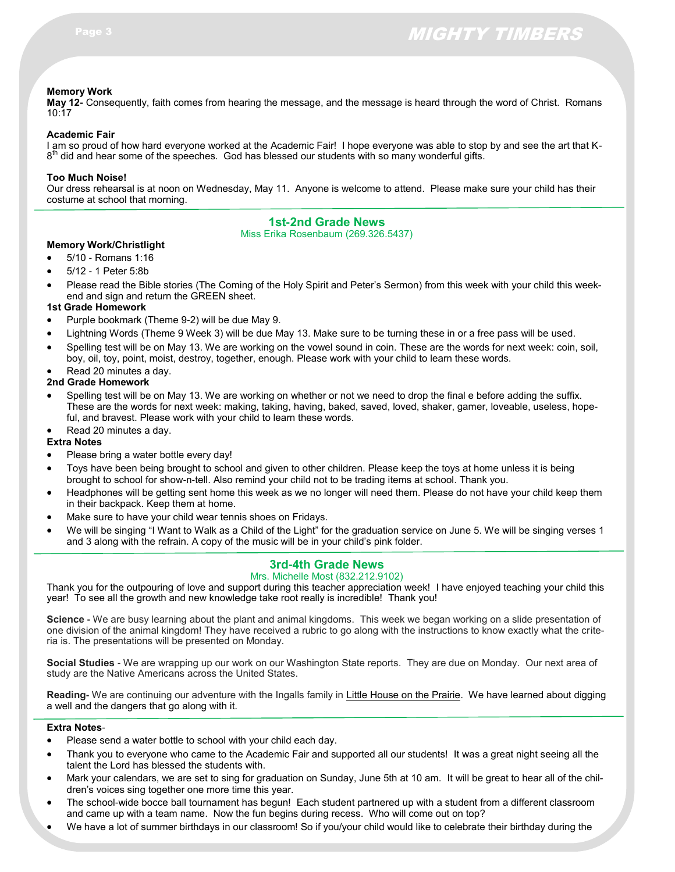# **Memory Work**

**May 12-** Consequently, faith comes from hearing the message, and the message is heard through the word of Christ. Romans 10:17

#### **Academic Fair**

I am so proud of how hard everyone worked at the Academic Fair! I hope everyone was able to stop by and see the art that K- $8<sup>th</sup>$  did and hear some of the speeches. God has blessed our students with so many wonderful gifts.

#### **Too Much Noise!**

Our dress rehearsal is at noon on Wednesday, May 11. Anyone is welcome to attend. Please make sure your child has their costume at school that morning.

# **1st-2nd Grade News**

Miss Erika Rosenbaum (269.326.5437)

#### **Memory Work/Christlight**

- 5/10 Romans 1:16
- 5/12 1 Peter 5:8b
- Please read the Bible stories (The Coming of the Holy Spirit and Peter's Sermon) from this week with your child this weekend and sign and return the GREEN sheet.

#### **1st Grade Homework**

- Purple bookmark (Theme 9-2) will be due May 9.
- Lightning Words (Theme 9 Week 3) will be due May 13. Make sure to be turning these in or a free pass will be used.
- Spelling test will be on May 13. We are working on the vowel sound in coin. These are the words for next week: coin, soil, boy, oil, toy, point, moist, destroy, together, enough. Please work with your child to learn these words.
- Read 20 minutes a day.

# **2nd Grade Homework**

- Spelling test will be on May 13. We are working on whether or not we need to drop the final e before adding the suffix. These are the words for next week: making, taking, having, baked, saved, loved, shaker, gamer, loveable, useless, hopeful, and bravest. Please work with your child to learn these words.
- Read 20 minutes a day.

#### **Extra Notes**

- Please bring a water bottle every day!
- Toys have been being brought to school and given to other children. Please keep the toys at home unless it is being brought to school for show-n-tell. Also remind your child not to be trading items at school. Thank you.
- Headphones will be getting sent home this week as we no longer will need them. Please do not have your child keep them in their backpack. Keep them at home.
- Make sure to have your child wear tennis shoes on Fridays.
- We will be singing "I Want to Walk as a Child of the Light" for the graduation service on June 5. We will be singing verses 1 and 3 along with the refrain. A copy of the music will be in your child's pink folder.

# **3rd-4th Grade News**

#### Mrs. Michelle Most (832.212.9102)

Thank you for the outpouring of love and support during this teacher appreciation week! I have enjoyed teaching your child this year! To see all the growth and new knowledge take root really is incredible! Thank you!

**Science -** We are busy learning about the plant and animal kingdoms. This week we began working on a slide presentation of one division of the animal kingdom! They have received a rubric to go along with the instructions to know exactly what the criteria is. The presentations will be presented on Monday.

**Social Studies** - We are wrapping up our work on our Washington State reports. They are due on Monday. Our next area of study are the Native Americans across the United States.

**Reading-** We are continuing our adventure with the Ingalls family in Little House on the Prairie. We have learned about digging a well and the dangers that go along with it.

#### **Extra Notes**-

- Please send a water bottle to school with your child each day.
- Thank you to everyone who came to the Academic Fair and supported all our students! It was a great night seeing all the talent the Lord has blessed the students with.
- Mark your calendars, we are set to sing for graduation on Sunday, June 5th at 10 am. It will be great to hear all of the children's voices sing together one more time this year.
- The school-wide bocce ball tournament has begun! Each student partnered up with a student from a different classroom and came up with a team name. Now the fun begins during recess. Who will come out on top?
- We have a lot of summer birthdays in our classroom! So if you/your child would like to celebrate their birthday during the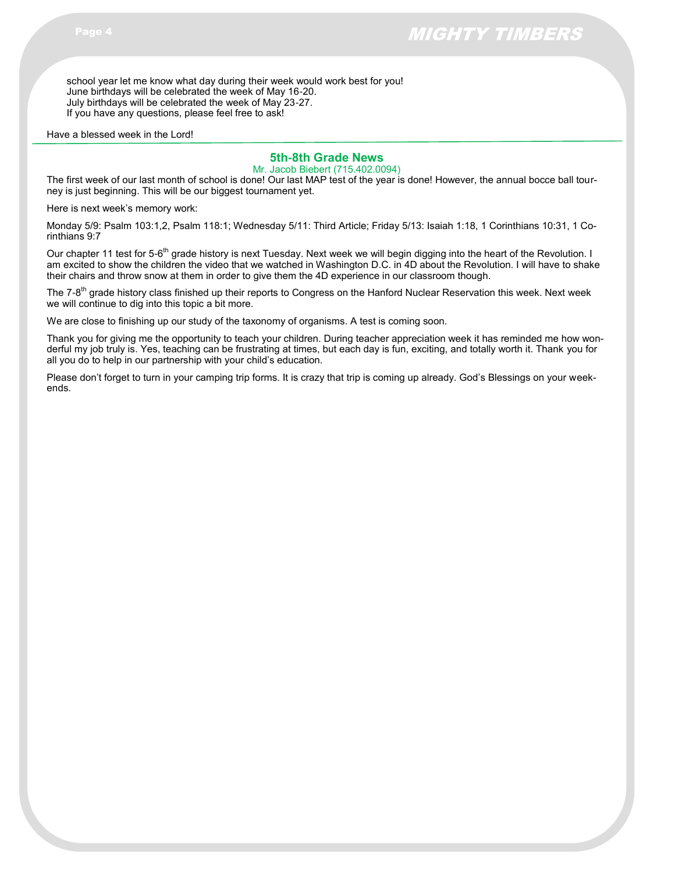school year let me know what day during their week would work best for you! June birthdays will be celebrated the week of May 16-20. July birthdays will be celebrated the week of May 23-27. If you have any questions, please feel free to ask!

Have a blessed week in the Lord!

# **5th-8th Grade News**

Mr. Jacob Biebert (715.402.0094)

The first week of our last month of school is done! Our last MAP test of the year is done! However, the annual bocce ball tourney is just beginning. This will be our biggest tournament yet.

Here is next week's memory work:

Monday 5/9: Psalm 103:1,2, Psalm 118:1; Wednesday 5/11: Third Article; Friday 5/13: Isaiah 1:18, 1 Corinthians 10:31, 1 Corinthians 9:7

Our chapter 11 test for 5-6<sup>th</sup> grade history is next Tuesday. Next week we will begin digging into the heart of the Revolution. I am excited to show the children the video that we watched in Washington D.C. in 4D about the Revolution. I will have to shake their chairs and throw snow at them in order to give them the 4D experience in our classroom though.

The 7-8<sup>th</sup> grade history class finished up their reports to Congress on the Hanford Nuclear Reservation this week. Next week we will continue to dig into this topic a bit more.

We are close to finishing up our study of the taxonomy of organisms. A test is coming soon.

Thank you for giving me the opportunity to teach your children. During teacher appreciation week it has reminded me how wonderful my job truly is. Yes, teaching can be frustrating at times, but each day is fun, exciting, and totally worth it. Thank you for all you do to help in our partnership with your child's education.

Please don't forget to turn in your camping trip forms. It is crazy that trip is coming up already. God's Blessings on your weekends.